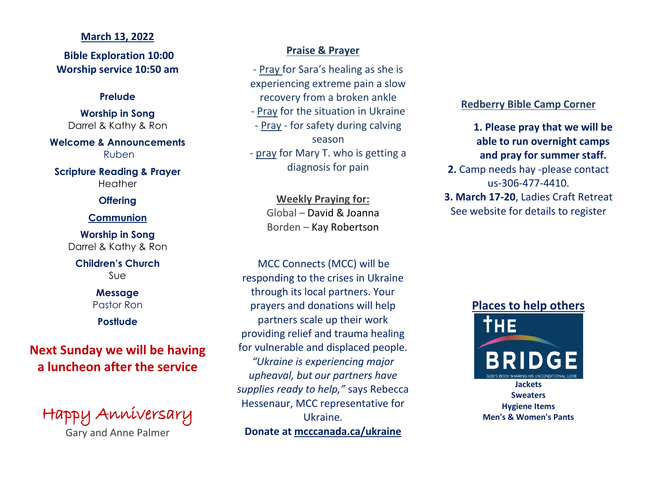## **March 13, 2022**

**Bible Exploration 10:00 Worship service 10:50 am**

## **Prelude**

**Worship in Song** Darrel & Kathy & Ron

**Welcome & Announcements** Ruben

**Scripture Reading & Prayer Heather** 

# **Offering**

## **Communion**

**Worship in Song** Darrel & Kathy & Ron

**Children's Church** Sue

> **Message** Pastor Ron

**Postlude**

**Next Sunday we will be having a luncheon after the service**

Happy Anniversary

Gary and Anne Palmer

# **Praise & Prayer**

- Pray for Sara's healing as she is experiencing extreme pain a slow recovery from a broken ankle

- Pray for the situation in Ukraine - Pray - for safety during calving season

- pray for Mary T. who is getting a diagnosis for pain

> **Weekly Praying for:** Global – David & Joanna Borden – Kay Robertson

MCC Connects (MCC) will be responding to the crises in Ukraine through its local partners. Your prayers and donations will help partners scale up their work providing relief and trauma healing for vulnerable and displaced people. *"Ukraine is experiencing major upheaval, but our partners have supplies ready to help,"* says Rebecca Hessenaur, MCC representative for Ukraine. **Donate at mcccanada.ca/ukraine**

# **Redberry Bible Camp Corner**

**1. Please pray that we will be able to run overnight camps and pray for summer staff. 2.** Camp needs hay -please contact us-306-477-4410.

**3. March 17-20**, Ladies Craft Retreat See website for details to register